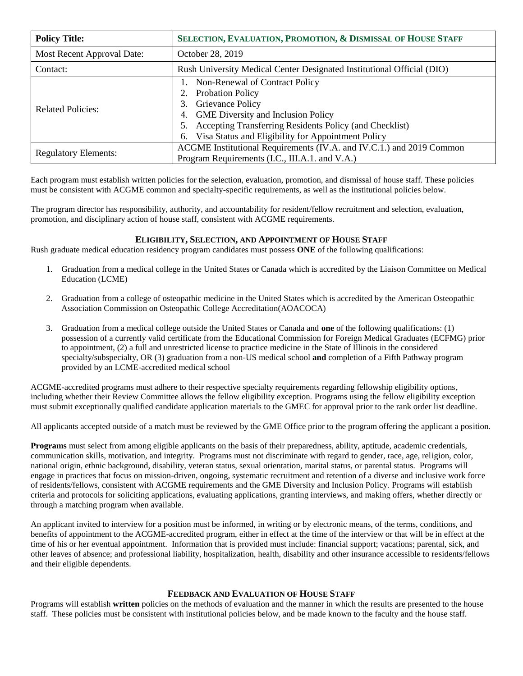| <b>Policy Title:</b>              | SELECTION, EVALUATION, PROMOTION, & DISMISSAL OF HOUSE STAFF                                                                                                                                                                                                 |
|-----------------------------------|--------------------------------------------------------------------------------------------------------------------------------------------------------------------------------------------------------------------------------------------------------------|
| <b>Most Recent Approval Date:</b> | October 28, 2019                                                                                                                                                                                                                                             |
| Contact:                          | Rush University Medical Center Designated Institutional Official (DIO)                                                                                                                                                                                       |
| <b>Related Policies:</b>          | Non-Renewal of Contract Policy<br>Probation Policy<br>Grievance Policy<br>3.<br><b>GME</b> Diversity and Inclusion Policy<br>4.<br>Accepting Transferring Residents Policy (and Checklist)<br>5.<br>Visa Status and Eligibility for Appointment Policy<br>6. |
| <b>Regulatory Elements:</b>       | ACGME Institutional Requirements (IV.A. and IV.C.1.) and 2019 Common<br>Program Requirements (I.C., III.A.1. and V.A.)                                                                                                                                       |

Each program must establish written policies for the selection, evaluation, promotion, and dismissal of house staff. These policies must be consistent with ACGME common and specialty-specific requirements, as well as the institutional policies below.

The program director has responsibility, authority, and accountability for resident/fellow recruitment and selection, evaluation, promotion, and disciplinary action of house staff, consistent with ACGME requirements.

## **ELIGIBILITY, SELECTION, AND APPOINTMENT OF HOUSE STAFF**

Rush graduate medical education residency program candidates must possess **ONE** of the following qualifications:

- 1. Graduation from a medical college in the United States or Canada which is accredited by the Liaison Committee on Medical Education (LCME)
- 2. Graduation from a college of osteopathic medicine in the United States which is accredited by the American Osteopathic Association Commission on Osteopathic College Accreditation(AOACOCA)
- 3. Graduation from a medical college outside the United States or Canada and **one** of the following qualifications: (1) possession of a currently valid certificate from the Educational Commission for Foreign Medical Graduates (ECFMG) prior to appointment, (2) a full and unrestricted license to practice medicine in the State of Illinois in the considered specialty/subspecialty, OR (3) graduation from a non-US medical school **and** completion of a Fifth Pathway program provided by an LCME-accredited medical school

ACGME-accredited programs must adhere to their respective specialty requirements regarding fellowship eligibility options, including whether their Review Committee allows the fellow eligibility exception. Programs using the fellow eligibility exception must submit exceptionally qualified candidate application materials to the GMEC for approval prior to the rank order list deadline.

All applicants accepted outside of a match must be reviewed by the GME Office prior to the program offering the applicant a position.

**Programs** must select from among eligible applicants on the basis of their preparedness, ability, aptitude, academic credentials, communication skills, motivation, and integrity. Programs must not discriminate with regard to gender, race, age, religion, color, national origin, ethnic background, disability, veteran status, sexual orientation, marital status, or parental status. Programs will engage in practices that focus on mission-driven, ongoing, systematic recruitment and retention of a diverse and inclusive work force of residents/fellows, consistent with ACGME requirements and the GME Diversity and Inclusion Policy. Programs will establish criteria and protocols for soliciting applications, evaluating applications, granting interviews, and making offers, whether directly or through a matching program when available.

An applicant invited to interview for a position must be informed, in writing or by electronic means, of the terms, conditions, and benefits of appointment to the ACGME-accredited program, either in effect at the time of the interview or that will be in effect at the time of his or her eventual appointment. Information that is provided must include: financial support; vacations; parental, sick, and other leaves of absence; and professional liability, hospitalization, health, disability and other insurance accessible to residents/fellows and their eligible dependents.

## **FEEDBACK AND EVALUATION OF HOUSE STAFF**

Programs will establish **written** policies on the methods of evaluation and the manner in which the results are presented to the house staff. These policies must be consistent with institutional policies below, and be made known to the faculty and the house staff.